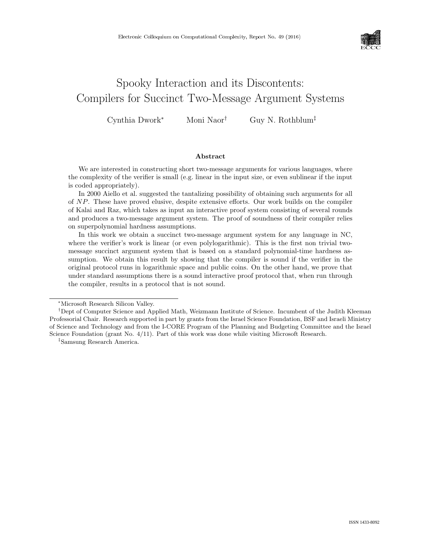

# Spooky Interaction and its Discontents: Compilers for Succinct Two-Message Argument Systems

Cynthia Dwork<sup>∗</sup> Moni Naor† Guy N. Rothblum‡

#### Abstract

We are interested in constructing short two-message arguments for various languages, where the complexity of the verifier is small (e.g. linear in the input size, or even sublinear if the input is coded appropriately).

In 2000 Aiello et al. suggested the tantalizing possibility of obtaining such arguments for all of NP. These have proved elusive, despite extensive efforts. Our work builds on the compiler of Kalai and Raz, which takes as input an interactive proof system consisting of several rounds and produces a two-message argument system. The proof of soundness of their compiler relies on superpolynomial hardness assumptions.

In this work we obtain a succinct two-message argument system for any language in NC, where the verifier's work is linear (or even polylogarithmic). This is the first non trivial twomessage succinct argument system that is based on a standard polynomial-time hardness assumption. We obtain this result by showing that the compiler is sound if the verifier in the original protocol runs in logarithmic space and public coins. On the other hand, we prove that under standard assumptions there is a sound interactive proof protocol that, when run through the compiler, results in a protocol that is not sound.

‡Samsung Research America.

<sup>∗</sup>Microsoft Research Silicon Valley.

<sup>†</sup>Dept of Computer Science and Applied Math, Weizmann Institute of Science. Incumbent of the Judith Kleeman Professorial Chair. Research supported in part by grants from the Israel Science Foundation, BSF and Israeli Ministry of Science and Technology and from the I-CORE Program of the Planning and Budgeting Committee and the Israel Science Foundation (grant No. 4/11). Part of this work was done while visiting Microsoft Research.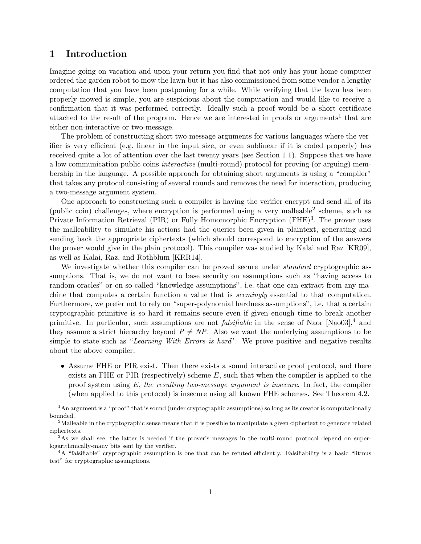### 1 Introduction

Imagine going on vacation and upon your return you find that not only has your home computer ordered the garden robot to mow the lawn but it has also commissioned from some vendor a lengthy computation that you have been postponing for a while. While verifying that the lawn has been properly mowed is simple, you are suspicious about the computation and would like to receive a confirmation that it was performed correctly. Ideally such a proof would be a short certificate attached to the result of the program. Hence we are interested in proofs or arguments<sup>1</sup> that are either non-interactive or two-message.

The problem of constructing short two-message arguments for various languages where the verifier is very efficient (e.g. linear in the input size, or even sublinear if it is coded properly) has received quite a lot of attention over the last twenty years (see Section 1.1). Suppose that we have a low communication public coins interactive (multi-round) protocol for proving (or arguing) membership in the language. A possible approach for obtaining short arguments is using a "compiler" that takes any protocol consisting of several rounds and removes the need for interaction, producing a two-message argument system.

One approach to constructing such a compiler is having the verifier encrypt and send all of its (public coin) challenges, where encryption is performed using a very malleable<sup>2</sup> scheme, such as Private Information Retrieval (PIR) or Fully Homomorphic Encryption (FHE)<sup>3</sup>. The prover uses the malleability to simulate his actions had the queries been given in plaintext, generating and sending back the appropriate ciphertexts (which should correspond to encryption of the answers the prover would give in the plain protocol). This compiler was studied by Kalai and Raz [KR09], as well as Kalai, Raz, and Rothblum [KRR14].

We investigate whether this compiler can be proved secure under *standard* cryptographic assumptions. That is, we do not want to base security on assumptions such as "having access to random oracles" or on so-called "knowledge assumptions", i.e. that one can extract from any machine that computes a certain function a value that is *seemingly* essential to that computation. Furthermore, we prefer not to rely on "super-polynomial hardness assumptions", i.e. that a certain cryptographic primitive is so hard it remains secure even if given enough time to break another primitive. In particular, such assumptions are not *falsifiable* in the sense of Naor  $[Na003]$ <sup>4</sup>, and they assume a strict hierarchy beyond  $P \neq NP$ . Also we want the underlying assumptions to be simple to state such as "Learning With Errors is hard". We prove positive and negative results about the above compiler:

• Assume FHE or PIR exist. Then there exists a sound interactive proof protocol, and there exists an FHE or PIR (respectively) scheme  $E$ , such that when the compiler is applied to the proof system using  $E$ , the resulting two-message argument is insecure. In fact, the compiler (when applied to this protocol) is insecure using all known FHE schemes. See Theorem 4.2.

 $1<sup>1</sup>$ An argument is a "proof" that is sound (under cryptographic assumptions) so long as its creator is computationally bounded.

<sup>&</sup>lt;sup>2</sup>Malleable in the cryptographic sense means that it is possible to manipulate a given ciphertext to generate related ciphertexts.

<sup>&</sup>lt;sup>3</sup>As we shall see, the latter is needed if the prover's messages in the multi-round protocol depend on superlogarithmically-many bits sent by the verifier.

<sup>4</sup>A "falsifiable" cryptographic assumption is one that can be refuted efficiently. Falsifiability is a basic "litmus test" for cryptographic assumptions.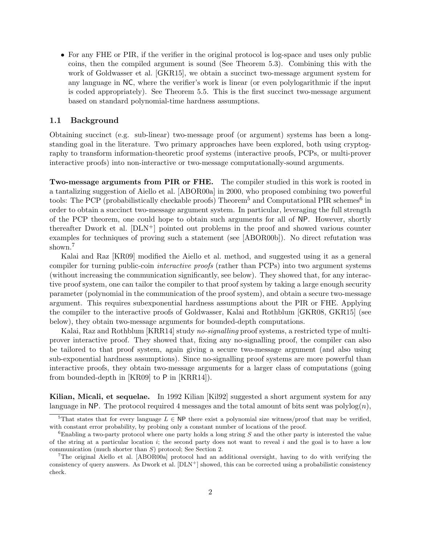• For any FHE or PIR, if the verifier in the original protocol is log-space and uses only public coins, then the compiled argument is sound (See Theorem 5.3). Combining this with the work of Goldwasser et al. [GKR15], we obtain a succinct two-message argument system for any language in NC, where the verifier's work is linear (or even polylogarithmic if the input is coded appropriately). See Theorem 5.5. This is the first succinct two-message argument based on standard polynomial-time hardness assumptions.

### 1.1 Background

Obtaining succinct (e.g. sub-linear) two-message proof (or argument) systems has been a longstanding goal in the literature. Two primary approaches have been explored, both using cryptography to transform information-theoretic proof systems (interactive proofs, PCPs, or multi-prover interactive proofs) into non-interactive or two-message computationally-sound arguments.

Two-message arguments from PIR or FHE. The compiler studied in this work is rooted in a tantalizing suggestion of Aiello et al. [ABOR00a] in 2000, who proposed combining two powerful tools: The PCP (probabilistically checkable proofs) Theorem<sup>5</sup> and Computational PIR schemes<sup>6</sup> in order to obtain a succinct two-message argument system. In particular, leveraging the full strength of the PCP theorem, one could hope to obtain such arguments for all of NP. However, shortly thereafter Dwork et al. [DLN+] pointed out problems in the proof and showed various counter examples for techniques of proving such a statement (see [ABOR00b]). No direct refutation was shown.<sup>7</sup>

Kalai and Raz [KR09] modified the Aiello et al. method, and suggested using it as a general compiler for turning public-coin *interactive proofs* (rather than PCPs) into two argument systems (without increasing the communication significantly, see below). They showed that, for any interactive proof system, one can tailor the compiler to that proof system by taking a large enough security parameter (polynomial in the communication of the proof system), and obtain a secure two-message argument. This requires subexponential hardness assumptions about the PIR or FHE. Applying the compiler to the interactive proofs of Goldwasser, Kalai and Rothblum [GKR08, GKR15] (see below), they obtain two-message arguments for bounded-depth computations.

Kalai, Raz and Rothblum [KRR14] study no-signalling proof systems, a restricted type of multiprover interactive proof. They showed that, fixing any no-signalling proof, the compiler can also be tailored to that proof system, again giving a secure two-message argument (and also using sub-exponential hardness assumptions). Since no-signalling proof systems are more powerful than interactive proofs, they obtain two-message arguments for a larger class of computations (going from bounded-depth in [KR09] to P in [KRR14]).

Kilian, Micali, et sequelae. In 1992 Kilian [Kil92] suggested a short argument system for any language in NP. The protocol required 4 messages and the total amount of bits sent was polylog $(n)$ ,

<sup>&</sup>lt;sup>5</sup>That states that for every language  $L \in \mathsf{NP}$  there exist a polynomial size witness/proof that may be verified, with constant error probability, by probing only a constant number of locations of the proof.

 $6$ Enabling a two-party protocol where one party holds a long string S and the other party is interested the value of the string at a particular location  $i$ ; the second party does not want to reveal  $i$  and the goal is to have a low communication (much shorter than S) protocol; See Section 2.

<sup>7</sup>The original Aiello et al. [ABOR00a] protocol had an additional oversight, having to do with verifying the consistency of query answers. As Dwork et al. [DLN<sup>+</sup>] showed, this can be corrected using a probabilistic consistency check.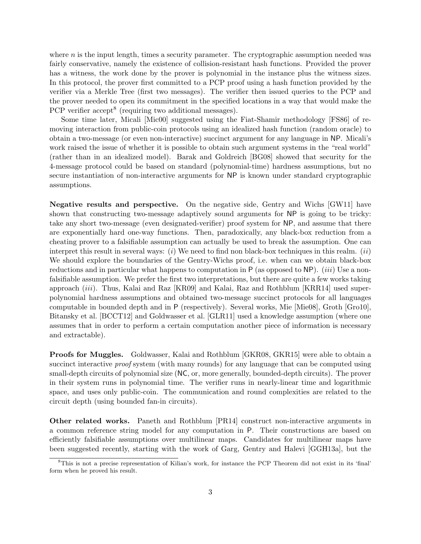where  $n$  is the input length, times a security parameter. The cryptographic assumption needed was fairly conservative, namely the existence of collision-resistant hash functions. Provided the prover has a witness, the work done by the prover is polynomial in the instance plus the witness sizes. In this protocol, the prover first committed to a PCP proof using a hash function provided by the verifier via a Merkle Tree (first two messages). The verifier then issued queries to the PCP and the prover needed to open its commitment in the specified locations in a way that would make the PCP verifier accept<sup>8</sup> (requiring two additional messages).

Some time later, Micali [Mic00] suggested using the Fiat-Shamir methodology [FS86] of removing interaction from public-coin protocols using an idealized hash function (random oracle) to obtain a two-message (or even non-interactive) succinct argument for any language in NP. Micali's work raised the issue of whether it is possible to obtain such argument systems in the "real world" (rather than in an idealized model). Barak and Goldreich [BG08] showed that security for the 4-message protocol could be based on standard (polynomial-time) hardness assumptions, but no secure instantiation of non-interactive arguments for NP is known under standard cryptographic assumptions.

Negative results and perspective. On the negative side, Gentry and Wichs [GW11] have shown that constructing two-message adaptively sound arguments for NP is going to be tricky: take any short two-message (even designated-verifier) proof system for NP, and assume that there are exponentially hard one-way functions. Then, paradoxically, any black-box reduction from a cheating prover to a falsifiable assumption can actually be used to break the assumption. One can interpret this result in several ways:  $(i)$  We need to find non black-box techniques in this realm.  $(ii)$ We should explore the boundaries of the Gentry-Wichs proof, i.e. when can we obtain black-box reductions and in particular what happens to computation in  $P$  (as opposed to NP). *(iii)* Use a nonfalsifiable assumption. We prefer the first two interpretations, but there are quite a few works taking approach  $(iii)$ . Thus, Kalai and Raz [KR09] and Kalai, Raz and Rothblum [KRR14] used superpolynomial hardness assumptions and obtained two-message succinct protocols for all languages computable in bounded depth and in P (respectively). Several works, Mie [Mie08], Groth [Gro10], Bitansky et al. [BCCT12] and Goldwasser et al. [GLR11] used a knowledge assumption (where one assumes that in order to perform a certain computation another piece of information is necessary and extractable).

Proofs for Muggles. Goldwasser, Kalai and Rothblum [GKR08, GKR15] were able to obtain a succinct interactive *proof* system (with many rounds) for any language that can be computed using small-depth circuits of polynomial size (NC, or, more generally, bounded-depth circuits). The prover in their system runs in polynomial time. The verifier runs in nearly-linear time and logarithmic space, and uses only public-coin. The communication and round complexities are related to the circuit depth (using bounded fan-in circuits).

Other related works. Paneth and Rothblum [PR14] construct non-interactive arguments in a common reference string model for any computation in P. Their constructions are based on efficiently falsifiable assumptions over multilinear maps. Candidates for multilinear maps have been suggested recently, starting with the work of Garg, Gentry and Halevi [GGH13a], but the

<sup>8</sup>This is not a precise representation of Kilian's work, for instance the PCP Theorem did not exist in its 'final' form when he proved his result.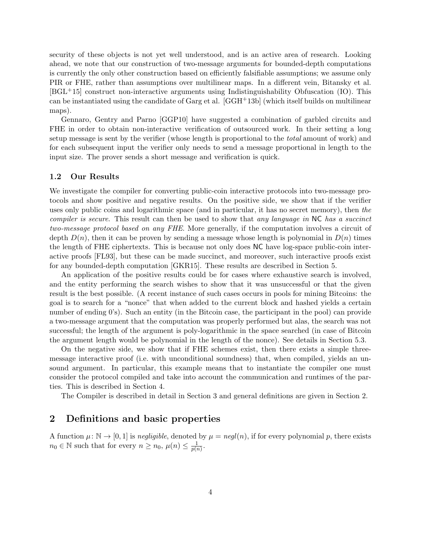security of these objects is not yet well understood, and is an active area of research. Looking ahead, we note that our construction of two-message arguments for bounded-depth computations is currently the only other construction based on efficiently falsifiable assumptions; we assume only PIR or FHE, rather than assumptions over multilinear maps. In a different vein, Bitansky et al. [BGL+15] construct non-interactive arguments using Indistinguishability Obfuscation (IO). This can be instantiated using the candidate of Garg et al. [GGH+13b] (which itself builds on multilinear maps).

Gennaro, Gentry and Parno [GGP10] have suggested a combination of garbled circuits and FHE in order to obtain non-interactive verification of outsourced work. In their setting a long setup message is sent by the verifier (whose length is proportional to the total amount of work) and for each subsequent input the verifier only needs to send a message proportional in length to the input size. The prover sends a short message and verification is quick.

#### 1.2 Our Results

We investigate the compiler for converting public-coin interactive protocols into two-message protocols and show positive and negative results. On the positive side, we show that if the verifier uses only public coins and logarithmic space (and in particular, it has no secret memory), then the compiler is secure. This result can then be used to show that any language in NC has a succinct two-message protocol based on any FHE. More generally, if the computation involves a circuit of depth  $D(n)$ , then it can be proven by sending a message whose length is polynomial in  $D(n)$  times the length of FHE ciphertexts. This is because not only does NC have log-space public-coin interactive proofs [FL93], but these can be made succinct, and moreover, such interactive proofs exist for any bounded-depth computation [GKR15]. These results are described in Section 5.

An application of the positive results could be for cases where exhaustive search is involved, and the entity performing the search wishes to show that it was unsuccessful or that the given result is the best possible. (A recent instance of such cases occurs in pools for mining Bitcoins: the goal is to search for a "nonce" that when added to the current block and hashed yields a certain number of ending 0's). Such an entity (in the Bitcoin case, the participant in the pool) can provide a two-message argument that the computation was properly performed but alas, the search was not successful; the length of the argument is poly-logarithmic in the space searched (in case of Bitcoin the argument length would be polynomial in the length of the nonce). See details in Section 5.3.

On the negative side, we show that if FHE schemes exist, then there exists a simple threemessage interactive proof (i.e. with unconditional soundness) that, when compiled, yields an unsound argument. In particular, this example means that to instantiate the compiler one must consider the protocol compiled and take into account the communication and runtimes of the parties. This is described in Section 4.

The Compiler is described in detail in Section 3 and general definitions are given in Section 2.

### 2 Definitions and basic properties

A function  $\mu: \mathbb{N} \to [0, 1]$  is negligible, denoted by  $\mu = negl(n)$ , if for every polynomial p, there exists  $n_0 \in \mathbb{N}$  such that for every  $n \geq n_0, \mu(n) \leq \frac{1}{n(n)}$  $\frac{1}{p(n)}$ .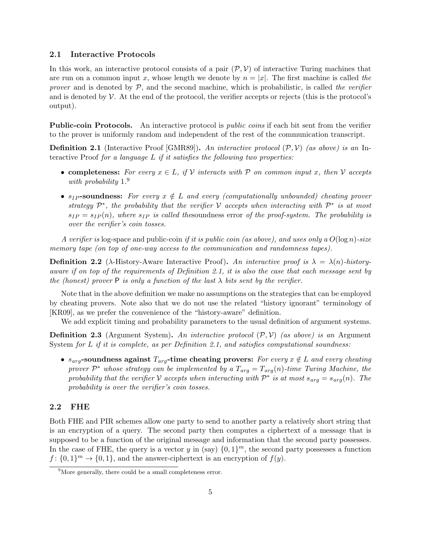### 2.1 Interactive Protocols

In this work, an interactive protocol consists of a pair  $(\mathcal{P}, \mathcal{V})$  of interactive Turing machines that are run on a common input x, whose length we denote by  $n = |x|$ . The first machine is called the prover and is denoted by  $P$ , and the second machine, which is probabilistic, is called the verifier and is denoted by  $\mathcal V$ . At the end of the protocol, the verifier accepts or rejects (this is the protocol's output).

**Public-coin Protocols.** An interactive protocol is *public coins* if each bit sent from the verifier to the prover is uniformly random and independent of the rest of the communication transcript.

**Definition 2.1** (Interactive Proof [GMR89]). An interactive protocol  $(\mathcal{P}, \mathcal{V})$  (as above) is an Interactive Proof for a language L if it satisfies the following two properties:

- completeness: For every  $x \in L$ , if  $V$  interacts with  $P$  on common input x, then  $V$  accepts with probability 1.<sup>9</sup>
- $s_{IP}$  -soundness: For every  $x \notin L$  and every (computationally unbounded) cheating prover strategy  $\mathcal{P}^*$ , the probability that the verifier V accepts when interacting with  $\mathcal{P}^*$  is at most  $s_{IP} = s_{IP}(n)$ , where  $s_{IP}$  is called thesoundness error of the proof-system. The probability is over the verifier's coin tosses.

A verifier is log-space and public-coin if it is public coin (as above), and uses only a  $O(\log n)$ -size memory tape (on top of one-way access to the communication and randomness tapes).

**Definition 2.2** (λ-History-Aware Interactive Proof). An interactive proof is  $\lambda = \lambda(n)$ -historyaware if on top of the requirements of Definition 2.1, it is also the case that each message sent by the (honest) prover P is only a function of the last  $\lambda$  bits sent by the verifier.

Note that in the above definition we make no assumptions on the strategies that can be employed by cheating provers. Note also that we do not use the related "history ignorant" terminology of [KR09], as we prefer the convenience of the "history-aware" definition.

We add explicit timing and probability parameters to the usual definition of argument systems.

**Definition 2.3** (Argument System). An interactive protocol  $(\mathcal{P}, \mathcal{V})$  (as above) is an Argument System for L if it is complete, as per Definition 2.1, and satisfies computational soundness:

•  $s_{\textit{arg}}$ -soundness against  $T_{\textit{arg}}$ -time cheating provers: For every  $x \notin L$  and every cheating prover  $\mathcal{P}^*$  whose strategy can be implemented by a  $T_{arg} = T_{arg}(n)$ -time Turing Machine, the probability that the verifier V accepts when interacting with  $\mathcal{P}^*$  is at most  $s_{arg} = s_{arg}(n)$ . The probability is over the verifier's coin tosses.

#### 2.2 FHE

Both FHE and PIR schemes allow one party to send to another party a relatively short string that is an encryption of a query. The second party then computes a ciphertext of a message that is supposed to be a function of the original message and information that the second party possesses. In the case of FHE, the query is a vector y in (say)  $\{0,1\}^m$ , the second party possesses a function  $f: \{0,1\}^m \to \{0,1\}$ , and the answer-ciphertext is an encryption of  $f(y)$ .

<sup>&</sup>lt;sup>9</sup>More generally, there could be a small completeness error.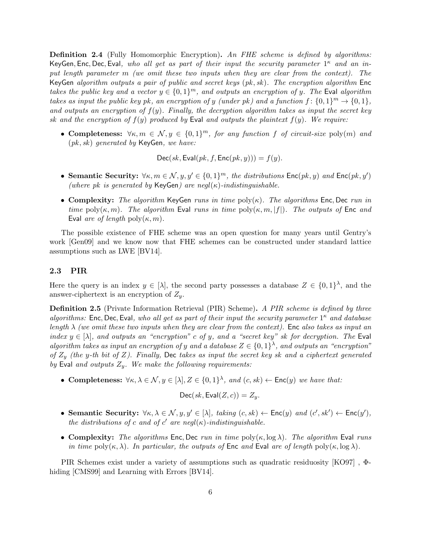**Definition 2.4** (Fully Homomorphic Encryption). An FHE scheme is defined by algorithms: KeyGen, Enc, Dec, Eval, who all get as part of their input the security parameter  $1^{\kappa}$  and an input length parameter m (we omit these two inputs when they are clear from the context). The KeyGen algorithm outputs a pair of public and secret keys  $(pk, sk)$ . The encryption algorithm Enc takes the public key and a vector  $y \in \{0,1\}^m$ , and outputs an encryption of y. The Eval algorithm takes as input the public key pk, an encryption of y (under pk) and a function  $f: \{0,1\}^m \to \{0,1\}$ , and outputs an encryption of  $f(y)$ . Finally, the decryption algorithm takes as input the secret key sk and the encryption of  $f(y)$  produced by Eval and outputs the plaintext  $f(y)$ . We require:

• Completeness:  $\forall \kappa, m \in \mathcal{N}, y \in \{0,1\}^m$ , for any function f of circuit-size poly $(m)$  and  $(pk, sk)$  generated by KeyGen, we have:

 $Dec(sk, EvaluateEnd(pk, f, Enc(pk, y))) = f(y).$ 

- Semantic Security:  $\forall \kappa, m \in \mathcal{N}, y, y' \in \{0, 1\}^m$ , the distributions  $Enc(pk, y)$  and  $Enc(pk, y')$ (where pk is generated by KeyGen) are negl( $\kappa$ )-indistinguishable.
- Complexity: The algorithm KeyGen runs in time  $\text{poly}(\kappa)$ . The algorithms Enc, Dec run in time poly( $\kappa$ , m). The algorithm Eval runs in time poly( $\kappa$ , m, |f|). The outputs of Enc and Eval are of length  $\text{poly}(\kappa, m)$ .

The possible existence of FHE scheme was an open question for many years until Gentry's work [Gen09] and we know now that FHE schemes can be constructed under standard lattice assumptions such as LWE [BV14].

#### 2.3 PIR

Here the query is an index  $y \in [\lambda]$ , the second party possesses a database  $Z \in \{0,1\}^{\lambda}$ , and the answer-ciphertext is an encryption of  $Z_y$ .

**Definition 2.5** (Private Information Retrieval (PIR) Scheme). A PIR scheme is defined by three algorithms: Enc, Dec, Eval, who all get as part of their input the security parameter  $1<sup>\kappa</sup>$  and database length  $\lambda$  (we omit these two inputs when they are clear from the context). Enc also takes as input an index  $y \in [\lambda]$ , and outputs an "encryption" c of y, and a "secret key" sk for decryption. The Eval algorithm takes as input an encryption of y and a database  $Z \in \{0,1\}^{\lambda}$ , and outputs an "encryption" of  $Z_y$  (the y-th bit of Z). Finally, Dec takes as input the secret key sk and a ciphertext generated by Eval and outputs  $Z_y$ . We make the following requirements:

• Completeness:  $\forall \kappa, \lambda \in \mathcal{N}, y \in [\lambda], Z \in \{0,1\}^{\lambda}, \text{ and } (c, sk) \leftarrow \text{Enc}(y) \text{ we have that:}$ 

$$
\mathsf{Dec}(sk, \mathsf{Eval}(Z, c)) = Z_y.
$$

- Semantic Security:  $\forall \kappa, \lambda \in \mathcal{N}, y, y' \in [\lambda]$ , taking  $(c, sk) \leftarrow \mathsf{Enc}(y)$  and  $(c', sk') \leftarrow \mathsf{Enc}(y')$ , the distributions of c and of c' are negl( $\kappa$ )-indistinguishable.
- Complexity: The algorithms Enc, Dec run in time  $\text{poly}(\kappa, \log \lambda)$ . The algorithm Eval runs in time poly( $\kappa, \lambda$ ). In particular, the outputs of Enc and Eval are of length poly( $\kappa, \log \lambda$ ).

PIR Schemes exist under a variety of assumptions such as quadratic residuosity [KO97] , Φhiding [CMS99] and Learning with Errors [BV14].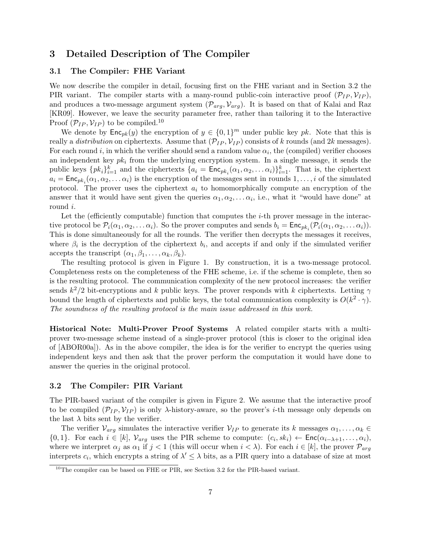# 3 Detailed Description of The Compiler

### 3.1 The Compiler: FHE Variant

We now describe the compiler in detail, focusing first on the FHE variant and in Section 3.2 the PIR variant. The compiler starts with a many-round public-coin interactive proof  $(\mathcal{P}_{IP}, \mathcal{V}_{IP})$ , and produces a two-message argument system  $(\mathcal{P}_{arg}, \mathcal{V}_{arg})$ . It is based on that of Kalai and Raz [KR09]. However, we leave the security parameter free, rather than tailoring it to the Interactive Proof  $(\mathcal{P}_{IP}, \mathcal{V}_{IP})$  to be compiled.<sup>10</sup>

We denote by  $\mathsf{Enc}_{pk}(y)$  the encryption of  $y \in \{0,1\}^m$  under public key pk. Note that this is really a *distribution* on ciphertexts. Assume that  $(\mathcal{P}_{IP}, \mathcal{V}_{IP})$  consists of k rounds (and 2k messages). For each round i, in which the verifier should send a random value  $\alpha_i$ , the (compiled) verifier chooses an independent key  $pk_i$  from the underlying encryption system. In a single message, it sends the public keys  $\{pk_i\}_{i=1}^k$  and the ciphertexts  $\{a_i = \textsf{Enc}_{pk_i}(\alpha_1, \alpha_2, \dots \alpha_i)\}_{i=1}^k$ . That is, the ciphertext  $a_i = \textsf{Enc}_{pk_i}(\alpha_1, \alpha_2, \dots \alpha_i)$  is the encryption of the messages sent in rounds  $1, \dots, i$  of the simulated protocol. The prover uses the ciphertext  $a_i$  to homomorphically compute an encryption of the answer that it would have sent given the queries  $\alpha_1, \alpha_2, \ldots, \alpha_i$ , i.e., what it "would have done" at round i.

Let the (efficiently computable) function that computes the  $i$ -th prover message in the interactive protocol be  $\mathcal{P}_i(\alpha_1, \alpha_2, \dots \alpha_i)$ . So the prover computes and sends  $b_i = \mathsf{Enc}_{pk_i}(\mathcal{P}_i(\alpha_1, \alpha_2, \dots \alpha_i))$ . This is done simultaneously for all the rounds. The verifier then decrypts the messages it receives, where  $\beta_i$  is the decryption of the ciphertext  $b_i$ , and accepts if and only if the simulated verifier accepts the transcript  $(\alpha_1, \beta_1, \ldots, \alpha_k, \beta_k)$ .

The resulting protocol is given in Figure 1. By construction, it is a two-message protocol. Completeness rests on the completeness of the FHE scheme, i.e. if the scheme is complete, then so is the resulting protocol. The communication complexity of the new protocol increases: the verifier sends  $k^2/2$  bit-encryptions and k public keys. The prover responds with k ciphertexts. Letting  $\gamma$ bound the length of ciphertexts and public keys, the total communication complexity is  $O(k^2 \cdot \gamma)$ . The soundness of the resulting protocol is the main issue addressed in this work.

Historical Note: Multi-Prover Proof Systems A related compiler starts with a multiprover two-message scheme instead of a single-prover protocol (this is closer to the original idea of [ABOR00a]). As in the above compiler, the idea is for the verifier to encrypt the queries using independent keys and then ask that the prover perform the computation it would have done to answer the queries in the original protocol.

#### 3.2 The Compiler: PIR Variant

The PIR-based variant of the compiler is given in Figure 2. We assume that the interactive proof to be compiled  $(\mathcal{P}_{IP}, \mathcal{V}_{IP})$  is only  $\lambda$ -history-aware, so the prover's *i*-th message only depends on the last  $\lambda$  bits sent by the verifier.

The verifier  $\mathcal{V}_{arg}$  simulates the interactive verifier  $\mathcal{V}_{IP}$  to generate its k messages  $\alpha_1, \ldots, \alpha_k \in$  $\{0,1\}$ . For each  $i \in [k]$ ,  $\mathcal{V}_{arg}$  uses the PIR scheme to compute:  $(c_i, sk_i) \leftarrow \mathsf{Enc}(\alpha_{i-\lambda+1}, \ldots, \alpha_i)$ , where we interpret  $\alpha_j$  as  $\alpha_1$  if  $j < 1$  (this will occur when  $i < \lambda$ ). For each  $i \in [k]$ , the prover  $\mathcal{P}_{arg}$ interprets  $c_i$ , which encrypts a string of  $\lambda' \leq \lambda$  bits, as a PIR query into a database of size at most

 $10$ The compiler can be based on FHE or PIR, see Section 3.2 for the PIR-based variant.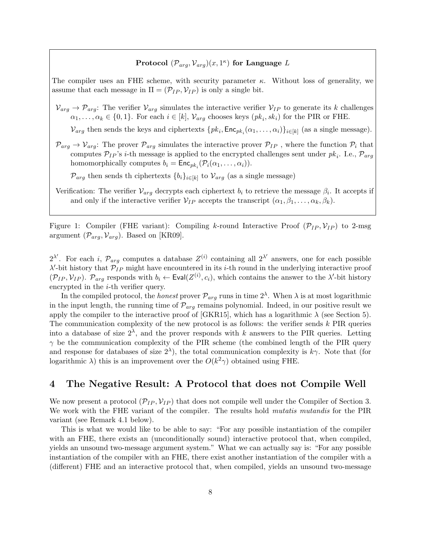# Protocol  $(\mathcal{P}_{arg}, \mathcal{V}_{arg})(x, 1^{\kappa})$  for Language  $L$

The compiler uses an FHE scheme, with security parameter  $\kappa$ . Without loss of generality, we assume that each message in  $\Pi = (\mathcal{P}_{IP}, \mathcal{V}_{IP})$  is only a single bit.

 $V_{arg} \rightarrow \mathcal{P}_{arg}$ : The verifier  $V_{arg}$  simulates the interactive verifier  $V_{IP}$  to generate its k challenges  $\alpha_1, \ldots, \alpha_k \in \{0, 1\}$ . For each  $i \in [k]$ ,  $\mathcal{V}_{arg}$  chooses keys  $(pk_i, sk_i)$  for the PIR or FHE.

 $\mathcal{V}_{arg}$  then sends the keys and ciphertexts  $\{pk_i, \textsf{Enc}_{pk_i}(\alpha_1, \ldots, \alpha_i)\}_{i \in [k]}$  (as a single message).

 $\mathcal{P}_{arg} \to \mathcal{V}_{arg}$ : The prover  $\mathcal{P}_{arg}$  simulates the interactive prover  $\mathcal{P}_{IP}$ , where the function  $\mathcal{P}_i$  that computes  $\mathcal{P}_{IP}$ 's *i*-th message is applied to the encrypted challenges sent under  $pk_i$ . I.e.,  $\mathcal{P}_{arg}$ homomorphically computes  $b_i = \text{Enc}_{pk_i}(\mathcal{P}_i(\alpha_1, ..., \alpha_i)).$ 

 $\mathcal{P}_{arg}$  then sends th ciphertexts  $\{b_i\}_{i\in[k]}$  to  $\mathcal{V}_{arg}$  (as a single message)

Verification: The verifier  $\mathcal{V}_{arg}$  decrypts each ciphertext  $b_i$  to retrieve the message  $\beta_i$ . It accepts if and only if the interactive verifier  $V_{IP}$  accepts the transcript  $(\alpha_1, \beta_1, \ldots, \alpha_k, \beta_k)$ .

Figure 1: Compiler (FHE variant): Compiling k-round Interactive Proof  $(\mathcal{P}_{IP}, \mathcal{V}_{IP})$  to 2-msg argument  $(\mathcal{P}_{arg}, \mathcal{V}_{arg})$ . Based on [KR09].

 $2^{\lambda'}$ . For each *i*,  $\mathcal{P}_{arg}$  computes a database  $Z^{(i)}$  containing all  $2^{\lambda'}$  answers, one for each possible  $\lambda'$ -bit history that  $\mathcal{P}_{IP}$  might have encountered in its *i*-th round in the underlying interactive proof  $(\mathcal{P}_{IP}, \mathcal{V}_{IP})$ .  $\mathcal{P}_{arg}$  responds with  $b_i \leftarrow \text{Eval}(Z^{(i)}, c_i)$ , which contains the answer to the  $\lambda'$ -bit history encrypted in the  $i$ -th verifier query.

In the compiled protocol, the *honest* prover  $\mathcal{P}_{arg}$  runs in time  $2^{\lambda}$ . When  $\lambda$  is at most logarithmic in the input length, the running time of  $\mathcal{P}_{arg}$  remains polynomial. Indeed, in our positive result we apply the compiler to the interactive proof of [GKR15], which has a logarithmic  $\lambda$  (see Section 5). The communication complexity of the new protocol is as follows: the verifier sends  $k$  PIR queries into a database of size  $2^{\lambda}$ , and the prover responds with k answers to the PIR queries. Letting  $\gamma$  be the communication complexity of the PIR scheme (the combined length of the PIR query and response for databases of size  $2^{\lambda}$ ), the total communication complexity is  $k\gamma$ . Note that (for logarithmic  $\lambda$ ) this is an improvement over the  $O(k^2\gamma)$  obtained using FHE.

### 4 The Negative Result: A Protocol that does not Compile Well

We now present a protocol  $(\mathcal{P}_{IP}, \mathcal{V}_{IP})$  that does not compile well under the Compiler of Section 3. We work with the FHE variant of the compiler. The results hold *mutatis mutandis* for the PIR variant (see Remark 4.1 below).

This is what we would like to be able to say: "For any possible instantiation of the compiler with an FHE, there exists an (unconditionally sound) interactive protocol that, when compiled, yields an unsound two-message argument system." What we can actually say is: "For any possible instantiation of the compiler with an FHE, there exist another instantiation of the compiler with a (different) FHE and an interactive protocol that, when compiled, yields an unsound two-message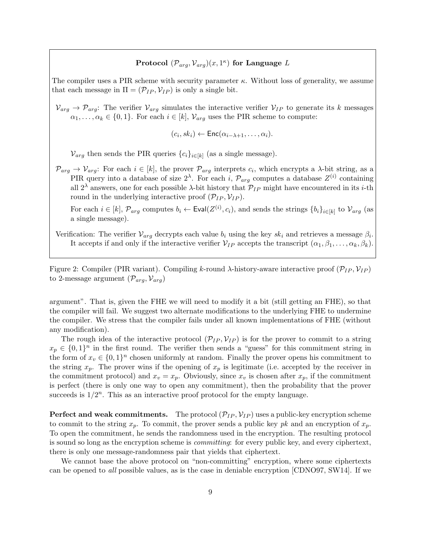# Protocol  $(\mathcal{P}_{arg}, \mathcal{V}_{arg})(x, 1^{\kappa})$  for Language  $L$

The compiler uses a PIR scheme with security parameter  $\kappa$ . Without loss of generality, we assume that each message in  $\Pi = (\mathcal{P}_{IP}, \mathcal{V}_{IP})$  is only a single bit.

 $V_{arg} \rightarrow \mathcal{P}_{arg}$ : The verifier  $V_{arg}$  simulates the interactive verifier  $V_{IP}$  to generate its k messages  $\alpha_1, \ldots, \alpha_k \in \{0, 1\}.$  For each  $i \in [k], \mathcal{V}_{arg}$  uses the PIR scheme to compute:

$$
(c_i, sk_i) \leftarrow \mathsf{Enc}(\alpha_{i-\lambda+1}, \ldots, \alpha_i).
$$

 $V_{arg}$  then sends the PIR queries  $\{c_i\}_{i\in[k]}$  (as a single message).

 $\mathcal{P}_{arg} \to \mathcal{V}_{arg}$ : For each  $i \in [k]$ , the prover  $\mathcal{P}_{arg}$  interprets  $c_i$ , which encrypts a  $\lambda$ -bit string, as a PIR query into a database of size  $2^{\lambda}$ . For each i,  $\mathcal{P}_{arg}$  computes a database  $Z^{(i)}$  containing all  $2^{\lambda}$  answers, one for each possible  $\lambda$ -bit history that  $\mathcal{P}_{IP}$  might have encountered in its *i*-th round in the underlying interactive proof  $(\mathcal{P}_{IP}, \mathcal{V}_{IP})$ .

For each  $i \in [k]$ ,  $\mathcal{P}_{arg}$  computes  $b_i \leftarrow \text{Eval}(Z^{(i)}, c_i)$ , and sends the strings  $\{b_i\}_{i \in [k]}$  to  $\mathcal{V}_{arg}$  (as a single message).

Verification: The verifier  $\mathcal{V}_{arg}$  decrypts each value  $b_i$  using the key  $sk_i$  and retrieves a message  $\beta_i$ . It accepts if and only if the interactive verifier  $V_{IP}$  accepts the transcript  $(\alpha_1, \beta_1, \ldots, \alpha_k, \beta_k)$ .

Figure 2: Compiler (PIR variant). Compiling k-round  $\lambda$ -history-aware interactive proof ( $\mathcal{P}_{IP}$ ,  $\mathcal{V}_{IP}$ ) to 2-message argument  $(\mathcal{P}_{arg}, \mathcal{V}_{arg})$ 

argument". That is, given the FHE we will need to modify it a bit (still getting an FHE), so that the compiler will fail. We suggest two alternate modifications to the underlying FHE to undermine the compiler. We stress that the compiler fails under all known implementations of FHE (without any modification).

The rough idea of the interactive protocol  $(\mathcal{P}_{IP}, \mathcal{V}_{IP})$  is for the prover to commit to a string  $x_p \in \{0,1\}^n$  in the first round. The verifier then sends a "guess" for this commitment string in the form of  $x_v \in \{0,1\}^n$  chosen uniformly at random. Finally the prover opens his commitment to the string  $x_p$ . The prover wins if the opening of  $x_p$  is legitimate (i.e. accepted by the receiver in the commitment protocol) and  $x_v = x_p$ . Obviously, since  $x_v$  is chosen after  $x_p$ , if the commitment is perfect (there is only one way to open any commitment), then the probability that the prover succeeds is  $1/2^n$ . This as an interactive proof protocol for the empty language.

**Perfect and weak commitments.** The protocol  $(\mathcal{P}_{IP}, \mathcal{V}_{IP})$  uses a public-key encryption scheme to commit to the string  $x_p$ . To commit, the prover sends a public key pk and an encryption of  $x_p$ . To open the commitment, he sends the randomness used in the encryption. The resulting protocol is sound so long as the encryption scheme is committing: for every public key, and every ciphertext, there is only one message-randomness pair that yields that ciphertext.

We cannot base the above protocol on "non-committing" encryption, where some ciphertexts can be opened to all possible values, as is the case in deniable encryption [CDNO97, SW14]. If we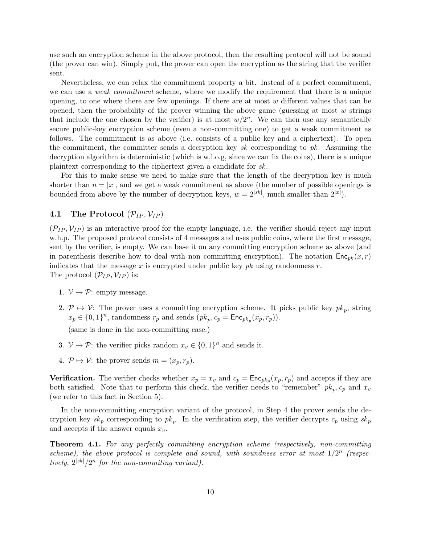use such an encryption scheme in the above protocol, then the resulting protocol will not be sound (the prover can win). Simply put, the prover can open the encryption as the string that the verifier sent.

Nevertheless, we can relax the commitment property a bit. Instead of a perfect commitment, we can use a *weak commitment* scheme, where we modify the requirement that there is a unique opening, to one where there are few openings. If there are at most  $w$  different values that can be opened, then the probability of the prover winning the above game (guessing at most  $w$  strings that include the one chosen by the verifier) is at most  $w/2^n$ . We can then use any semantically secure public-key encryption scheme (even a non-committing one) to get a weak commitment as follows. The commitment is as above (i.e. consists of a public key and a ciphertext). To open the commitment, the committer sends a decryption key sk corresponding to  $pk$ . Assuming the decryption algorithm is deterministic (which is w.l.o.g, since we can fix the coins), there is a unique plaintext corresponding to the ciphertext given a candidate for sk.

For this to make sense we need to make sure that the length of the decryption key is much shorter than  $n = |x|$ , and we get a weak commitment as above (the number of possible openings is bounded from above by the number of decryption keys,  $w = 2^{|sk|}$ , much smaller than  $2^{|x|}$ ).

### 4.1 The Protocol  $(\mathcal{P}_{IP}, \mathcal{V}_{IP})$

 $(\mathcal{P}_{IP}, \mathcal{V}_{IP})$  is an interactive proof for the empty language, i.e. the verifier should reject any input w.h.p. The proposed protocol consists of 4 messages and uses public coins, where the first message, sent by the verifier, is empty. We can base it on any committing encryption scheme as above (and in parenthesis describe how to deal with non committing encryption). The notation  $Enc_{pk}(x, r)$ indicates that the message  $x$  is encrypted under public key  $pk$  using randomness  $r$ . The protocol  $(\mathcal{P}_{IP}, \mathcal{V}_{IP})$  is:

- 1.  $\mathcal{V} \mapsto \mathcal{P}$ : empty message.
- 2.  $\mathcal{P} \mapsto \mathcal{V}$ : The prover uses a committing encryption scheme. It picks public key  $pk_p$ , string  $x_p \in \{0,1\}^n$ , randomness  $r_p$  and sends  $(pk_p, c_p = \textsf{Enc}_{pk_p}(x_p, r_p)).$

(same is done in the non-committing case.)

- 3.  $\mathcal{V} \mapsto \mathcal{P}$ : the verifier picks random  $x_v \in \{0, 1\}^n$  and sends it.
- 4.  $\mathcal{P} \mapsto \mathcal{V}$ : the prover sends  $m = (x_p, r_p)$ .

**Verification.** The verifier checks whether  $x_p = x_v$  and  $c_p = \text{Enc}_{pk_p}(x_p, r_p)$  and accepts if they are both satisfied. Note that to perform this check, the verifier needs to "remember"  $pk_p$ ,  $c_p$  and  $x_v$ (we refer to this fact in Section 5).

In the non-committing encryption variant of the protocol, in Step 4 the prover sends the decryption key  $sk_p$  corresponding to  $pk_p$ . In the verification step, the verifier decrypts  $c_p$  using  $sk_p$ and accepts if the answer equals  $x_v$ .

Theorem 4.1. For any perfectly committing encryption scheme (respectively, non-committing scheme), the above protocol is complete and sound, with soundness error at most  $1/2^n$  (respectively,  $2^{|sk|}/2^n$  for the non-commiting variant).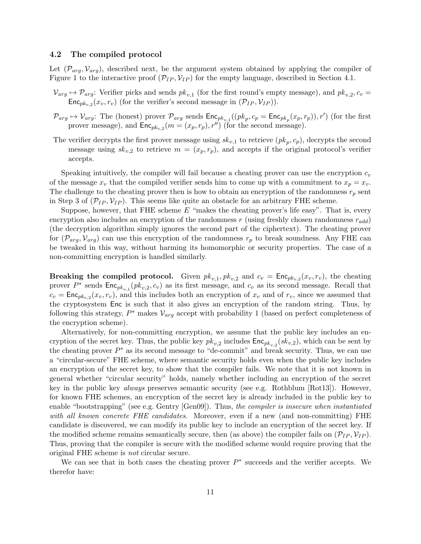### 4.2 The compiled protocol

Let  $(\mathcal{P}_{arg}, \mathcal{V}_{arg})$ , described next, be the argument system obtained by applying the compiler of Figure 1 to the interactive proof  $(\mathcal{P}_{IP}, \mathcal{V}_{IP})$  for the empty language, described in Section 4.1.

- $\mathcal{V}_{arg} \mapsto \mathcal{P}_{arg}$ : Verifier picks and sends  $pk_{v,1}$  (for the first round's empty message), and  $pk_{v,2}$ ,  $c_v$  =  $\mathsf{Enc}_{pk_{v,2}}(x_v, r_v)$  (for the verifier's second message in  $(\mathcal{P}_{IP}, \mathcal{V}_{IP})$ ).
- $\mathcal{P}_{arg} \mapsto \mathcal{V}_{arg}$ : The (honest) prover  $\mathcal{P}_{arg}$  sends  $\mathsf{Enc}_{pk_{v,1}}((pk_p, c_p = \mathsf{Enc}_{pk_p}(x_p, r_p)), r')$  (for the first prover message), and  $\mathsf{Enc}_{pk_{v,2}}(m = (x_p, r_p), r'')$  (for the second message).
- The verifier decrypts the first prover message using  $sk_{v,1}$  to retrieve  $(pk_p, c_p)$ , decrypts the second message using  $sk_{v,2}$  to retrieve  $m = (x_p, r_p)$ , and accepts if the original protocol's verifier accepts.

Speaking intuitively, the compiler will fail because a cheating prover can use the encryption  $c_v$ of the message  $x_v$  that the compiled verifier sends him to come up with a commitment to  $x_p = x_v$ . The challenge to the cheating prover then is how to obtain an encryption of the randomness  $r_p$  sent in Step 3 of  $(\mathcal{P}_{IP}, \mathcal{V}_{IP})$ . This seems like quite an obstacle for an arbitrary FHE scheme.

Suppose, however, that FHE scheme  $E$  "makes the cheating prover's life easy". That is, every encryption also includes an encryption of the randomness  $r$  (using freshly chosen randomness  $r_{add}$ ) (the decryption algorithm simply ignores the second part of the ciphertext). The cheating prover for  $(\mathcal{P}_{ara}, \mathcal{V}_{ara})$  can use this encryption of the randomness  $r_p$  to break soundness. Any FHE can be tweaked in this way, without harming its homomorphic or security properties. The case of a non-committing encryption is handled similarly.

**Breaking the compiled protocol.** Given  $pk_{v,1}$ ,  $pk_{v,2}$  and  $c_v = \text{Enc}_{pk_{v,2}}(x_v, r_v)$ , the cheating prover  $P^*$  sends  $\mathsf{Enc}_{pk_{v,1}}(pk_{v,2}, c_v)$  as its first message, and  $c_v$  as its second message. Recall that  $c_v = \textsf{Enc}_{pk_{v,2}}(x_v, r_v)$ , and this includes both an encryption of  $x_v$  and of  $r_v$ , since we assumed that the cryptosystem Enc is such that it also gives an encryption of the random string. Thus, by following this strategy,  $P^*$  makes  $\mathcal{V}_{arg}$  accept with probability 1 (based on perfect completeness of the encryption scheme).

Alternatively, for non-committing encryption, we assume that the public key includes an encryption of the secret key. Thus, the public key  $pk_{v,2}$  includes  $\mathsf{Enc}_{pk_{v,2}}(sk_{v,2})$ , which can be sent by the cheating prover  $P^*$  as its second message to "de-commit" and break security. Thus, we can use a "circular-secure" FHE scheme, where semantic security holds even when the public key includes an encryption of the secret key, to show that the compiler fails. We note that it is not known in general whether "circular security" holds, namely whether including an encryption of the secret key in the public key *always* preserves semantic security (see e.g. Rothblum [Rot13]). However, for known FHE schemes, an encryption of the secret key is already included in the public key to enable "bootstrapping" (see e.g. Gentry [Gen09]). Thus, the compiler is insecure when instantiated with all known concrete FHE candidates. Moreover, even if a new (and non-committing) FHE candidate is discovered, we can modify its public key to include an encryption of the secret key. If the modified scheme remains semantically secure, then (as above) the compiler fails on  $(\mathcal{P}_{IP}, \mathcal{V}_{IP})$ . Thus, proving that the compiler is secure with the modified scheme would require proving that the original FHE scheme is not circular secure.

We can see that in both cases the cheating prover  $P^*$  succeeds and the verifier accepts. We therefor have: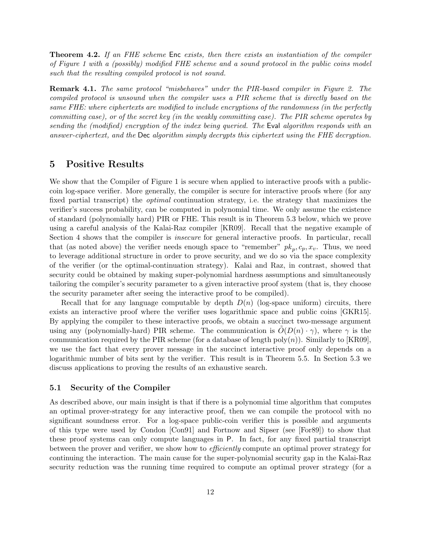**Theorem 4.2.** If an FHE scheme Enc exists, then there exists an instantiation of the compiler of Figure 1 with a (possibly) modified FHE scheme and a sound protocol in the public coins model such that the resulting compiled protocol is not sound.

Remark 4.1. The same protocol "misbehaves" under the PIR-based compiler in Figure 2. The compiled protocol is unsound when the compiler uses a PIR scheme that is directly based on the same FHE: where ciphertexts are modified to include encryptions of the randomness (in the perfectly committing case), or of the secret key (in the weakly committing case). The PIR scheme operates by sending the (modified) encryption of the index being queried. The Eval algorithm responds with an answer-ciphertext, and the Dec algorithm simply decrypts this ciphertext using the FHE decryption.

### 5 Positive Results

We show that the Compiler of Figure 1 is secure when applied to interactive proofs with a publiccoin log-space verifier. More generally, the compiler is secure for interactive proofs where (for any fixed partial transcript) the *optimal* continuation strategy, i.e. the strategy that maximizes the verifier's success probability, can be computed in polynomial time. We only assume the existence of standard (polynomially hard) PIR or FHE. This result is in Theorem 5.3 below, which we prove using a careful analysis of the Kalai-Raz compiler [KR09]. Recall that the negative example of Section 4 shows that the compiler is insecure for general interactive proofs. In particular, recall that (as noted above) the verifier needs enough space to "remember"  $pk_p, c_p, x_v$ . Thus, we need to leverage additional structure in order to prove security, and we do so via the space complexity of the verifier (or the optimal-continuation strategy). Kalai and Raz, in contrast, showed that security could be obtained by making super-polynomial hardness assumptions and simultaneously tailoring the compiler's security parameter to a given interactive proof system (that is, they choose the security parameter after seeing the interactive proof to be compiled).

Recall that for any language computable by depth  $D(n)$  (log-space uniform) circuits, there exists an interactive proof where the verifier uses logarithmic space and public coins [GKR15]. By applying the compiler to these interactive proofs, we obtain a succinct two-message argument using any (polynomially-hard) PIR scheme. The communication is  $O(D(n) \cdot \gamma)$ , where  $\gamma$  is the communication required by the PIR scheme (for a database of length poly $(n)$ ). Similarly to [KR09], we use the fact that every prover message in the succinct interactive proof only depends on a logarithmic number of bits sent by the verifier. This result is in Theorem 5.5. In Section 5.3 we discuss applications to proving the results of an exhaustive search.

#### 5.1 Security of the Compiler

As described above, our main insight is that if there is a polynomial time algorithm that computes an optimal prover-strategy for any interactive proof, then we can compile the protocol with no significant soundness error. For a log-space public-coin verifier this is possible and arguments of this type were used by Condon [Con91] and Fortnow and Sipser (see [For89]) to show that these proof systems can only compute languages in P. In fact, for any fixed partial transcript between the prover and verifier, we show how to *efficiently* compute an optimal prover strategy for continuing the interaction. The main cause for the super-polynomial security gap in the Kalai-Raz security reduction was the running time required to compute an optimal prover strategy (for a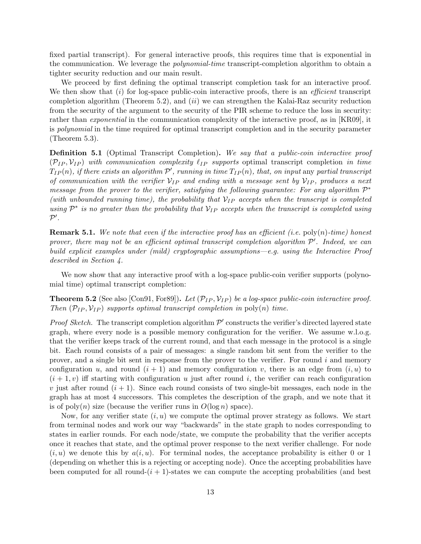fixed partial transcript). For general interactive proofs, this requires time that is exponential in the communication. We leverage the *polynomial-time* transcript-completion algorithm to obtain a tighter security reduction and our main result.

We proceed by first defining the optimal transcript completion task for an interactive proof. We then show that  $(i)$  for log-space public-coin interactive proofs, there is an *efficient* transcript completion algorithm (Theorem 5.2), and  $(ii)$  we can strengthen the Kalai-Raz security reduction from the security of the argument to the security of the PIR scheme to reduce the loss in security: rather than *exponential* in the communication complexity of the interactive proof, as in [KR09], it is polynomial in the time required for optimal transcript completion and in the security parameter (Theorem 5.3).

**Definition 5.1** (Optimal Transcript Completion). We say that a public-coin interactive proof  $(\mathcal{P}_{IP}, \mathcal{V}_{IP})$  with communication complexity  $\ell_{IP}$  supports optimal transcript completion in time  $T_{IP}(n)$ , if there exists an algorithm  $\mathcal{P}',$  running in time  $T_{IP}(n),$  that, on input any partial transcript of communication with the verifier  $V_{IP}$  and ending with a message sent by  $V_{IP}$ , produces a next message from the prover to the verifier, satisfying the following guarantee: For any algorithm  $\mathcal{P}^*$ (with unbounded running time), the probability that  $V_{IP}$  accepts when the transcript is completed using  $\mathcal{P}^*$  is no greater than the probability that  $\mathcal{V}_{IP}$  accepts when the transcript is completed using  $\mathcal{P}^\prime$  .

**Remark 5.1.** We note that even if the interactive proof has an efficient (i.e.  $poly(n)$ -time) honest prover, there may not be an efficient optimal transcript completion algorithm  $\mathcal{P}'$ . Indeed, we can build explicit examples under (mild) cryptographic assumptions—e.g. using the Interactive Proof described in Section 4.

We now show that any interactive proof with a log-space public-coin verifier supports (polynomial time) optimal transcript completion:

**Theorem 5.2** (See also [Con91, For89]). Let  $(\mathcal{P}_{IP}, \mathcal{V}_{IP})$  be a log-space public-coin interactive proof. Then  $(\mathcal{P}_{IP}, \mathcal{V}_{IP})$  supports optimal transcript completion in poly(n) time.

Proof Sketch. The transcript completion algorithm  $\mathcal{P}'$  constructs the verifier's directed layered state graph, where every node is a possible memory configuration for the verifier. We assume w.l.o.g. that the verifier keeps track of the current round, and that each message in the protocol is a single bit. Each round consists of a pair of messages: a single random bit sent from the verifier to the prover, and a single bit sent in response from the prover to the verifier. For round  $i$  and memory configuration u, and round  $(i + 1)$  and memory configuration v, there is an edge from  $(i, u)$  to  $(i + 1, v)$  iff starting with configuration u just after round i, the verifier can reach configuration v just after round  $(i + 1)$ . Since each round consists of two single-bit messages, each node in the graph has at most 4 successors. This completes the description of the graph, and we note that it is of  $poly(n)$  size (because the verifier runs in  $O(\log n)$  space).

Now, for any verifier state  $(i, u)$  we compute the optimal prover strategy as follows. We start from terminal nodes and work our way "backwards" in the state graph to nodes corresponding to states in earlier rounds. For each node/state, we compute the probability that the verifier accepts once it reaches that state, and the optimal prover response to the next verifier challenge. For node  $(i, u)$  we denote this by  $a(i, u)$ . For terminal nodes, the acceptance probability is either 0 or 1 (depending on whether this is a rejecting or accepting node). Once the accepting probabilities have been computed for all round- $(i + 1)$ -states we can compute the accepting probabilities (and best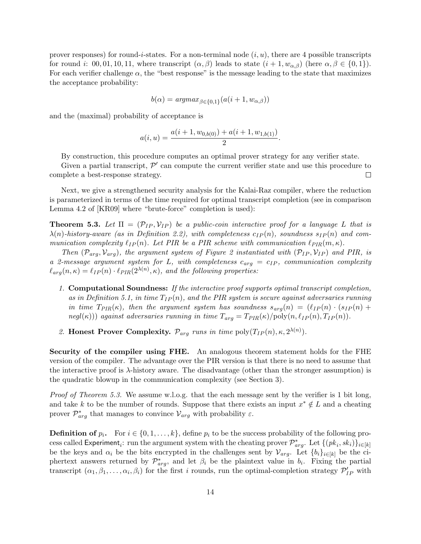prover responses) for round-i-states. For a non-terminal node  $(i, u)$ , there are 4 possible transcripts for round i:  $00, 01, 10, 11$ , where transcript  $(\alpha, \beta)$  leads to state  $(i + 1, w_{\alpha, \beta})$  (here  $\alpha, \beta \in \{0, 1\}$ ). For each verifier challenge  $\alpha$ , the "best response" is the message leading to the state that maximizes the acceptance probability:

$$
b(\alpha) = argmax_{\beta \in \{0,1\}} (a(i+1, w_{\alpha,\beta}))
$$

and the (maximal) probability of acceptance is

$$
a(i, u) = \frac{a(i + 1, w_{0,b(0)}) + a(i + 1, w_{1,b(1)})}{2}.
$$

By construction, this procedure computes an optimal prover strategy for any verifier state.

Given a partial transcript,  $\mathcal{P}'$  can compute the current verifier state and use this procedure to complete a best-response strategy.  $\Box$ 

Next, we give a strengthened security analysis for the Kalai-Raz compiler, where the reduction is parameterized in terms of the time required for optimal transcript completion (see in comparison Lemma 4.2 of [KR09] where "brute-force" completion is used):

**Theorem 5.3.** Let  $\Pi = (\mathcal{P}_{IP}, \mathcal{V}_{IP})$  be a public-coin interactive proof for a language L that is  $\lambda(n)$ -history-aware (as in Definition 2.2), with completeness  $c_{IP}(n)$ , soundness  $s_{IP}(n)$  and communication complexity  $\ell_{IP}(n)$ . Let PIR be a PIR scheme with communication  $\ell_{PIR}(m, \kappa)$ .

Then  $(\mathcal{P}_{arg}, \mathcal{V}_{arg})$ , the argument system of Figure 2 instantiated with  $(\mathcal{P}_{IP}, \mathcal{V}_{IP})$  and PIR, is a 2-message argument system for L, with completeness  $c_{arg} = c_{IP}$ , communication complexity  $\ell_{arg}(n, \kappa) = \ell_{IP}(n) \cdot \ell_{PIR}(2^{\lambda(n)}, \kappa)$ , and the following properties:

- 1. Computational Soundness: If the interactive proof supports optimal transcript completion, as in Definition 5.1, in time  $T_{IP}(n)$ , and the PIR system is secure against adversaries running in time  $T_{PIR}(\kappa)$ , then the argument system has soundness  $s_{arg}(n) = (\ell_{IP}(n) \cdot (s_{IP}(n) +$ negl(κ))) against adversaries running in time  $T_{arg} = T_{PIR}(\kappa)/\text{poly}(n, \ell_{IP}(n), T_{IP}(n)).$
- 2. Honest Prover Complexity.  $\mathcal{P}_{arg}$  runs in time  $\text{poly}(T_{IP}(n), \kappa, 2^{\lambda(n)})$ .

Security of the compiler using FHE. An analogous theorem statement holds for the FHE version of the compiler. The advantage over the PIR version is that there is no need to assume that the interactive proof is λ-history aware. The disadvantage (other than the stronger assumption) is the quadratic blowup in the communication complexity (see Section 3).

Proof of Theorem 5.3. We assume w.l.o.g. that the each message sent by the verifier is 1 bit long, and take k to be the number of rounds. Suppose that there exists an input  $x^* \notin L$  and a cheating prover  $\mathcal{P}_{arg}^*$  that manages to convince  $\mathcal{V}_{arg}$  with probability  $\varepsilon$ .

**Definition of**  $p_i$ . For  $i \in \{0, 1, \ldots, k\}$ , define  $p_i$  to be the success probability of the following process called Experiment<sub>i</sub>: run the argument system with the cheating prover  $\mathcal{P}_{arg}^*$ . Let  $\{(pk_i, sk_i)\}_{i \in [k]}$ be the keys and  $\alpha_i$  be the bits encrypted in the challenges sent by  $\mathcal{V}_{arg}$ . Let  $\{b_i\}_{i\in[k]}$  be the ciphertext answers returned by  $\mathcal{P}_{arg}^*$ , and let  $\beta_i$  be the plaintext value in  $b_i$ . Fixing the partial transcript  $(\alpha_1, \beta_1, \ldots, \alpha_i, \beta_i)$  for the first i rounds, run the optimal-completion strategy  $\mathcal{P}'_{IP}$  with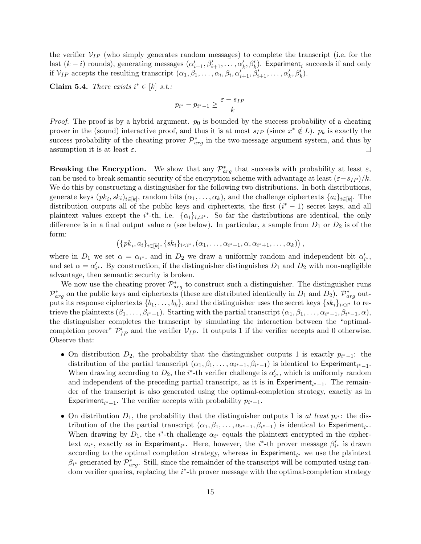the verifier  $V_{IP}$  (who simply generates random messages) to complete the transcript (i.e. for the last  $(k-i)$  rounds), generating messages  $(\alpha'_{i+1}, \beta'_{i+1}, \ldots, \alpha'_k, \beta'_k)$ . Experiment<sub>i</sub> succeeds if and only if  $V_{IP}$  accepts the resulting transcript  $(\alpha_1, \beta_1, \ldots, \alpha_i, \beta_i, \alpha'_{i+1}, \beta'_{i+1}, \ldots, \alpha'_k, \beta'_k)$ .

Claim 5.4. There exists  $i^* \in [k]$  s.t.:

$$
p_{i^*} - p_{i^*-1} \ge \frac{\varepsilon - s_{IP}}{k}
$$

*Proof.* The proof is by a hybrid argument.  $p_0$  is bounded by the success probability of a cheating prover in the (sound) interactive proof, and thus it is at most  $s_{IP}$  (since  $x^* \notin L$ ).  $p_k$  is exactly the success probability of the cheating prover  $\mathcal{P}_{arg}^*$  in the two-message argument system, and thus by  $\Box$ assumption it is at least  $\varepsilon$ .

**Breaking the Encryption.** We show that any  $\mathcal{P}_{arg}^{*}$  that succeeds with probability at least  $\varepsilon$ , can be used to break semantic security of the encryption scheme with advantage at least  $(\varepsilon - s_{IP})/k$ . We do this by constructing a distinguisher for the following two distributions. In both distributions, generate keys  $(pk_i, sk_i)_{i \in [k]}$ , random bits  $(\alpha_1, \ldots, \alpha_k)$ , and the challenge ciphertexts  $\{a_i\}_{i \in [k]}$ . The distribution outputs all of the public keys and ciphertexts, the first  $(i^* - 1)$  secret keys, and all plaintext values except the *i*<sup>\*</sup>-th, i.e.  $\{\alpha_i\}_{i\neq i^*}$ . So far the distributions are identical, the only difference is in a final output value  $\alpha$  (see below). In particular, a sample from  $D_1$  or  $D_2$  is of the form:

$$
(\{pk_i, a_i\}_{i \in [k]}, \{sk_i\}_{i < i^*}, (\alpha_1, \ldots, \alpha_{i^*-1}, \alpha, \alpha_{i^*+1}, \ldots, \alpha_k))
$$

where in  $D_1$  we set  $\alpha = \alpha_{i^*}$ , and in  $D_2$  we draw a uniformly random and independent bit  $\alpha'_{i^*}$ , and set  $\alpha = \alpha'_{i^*}$ . By construction, if the distinguisher distinguishes  $D_1$  and  $D_2$  with non-negligible advantage, then semantic security is broken.

We now use the cheating prover  $\mathcal{P}_{arg}^*$  to construct such a distinguisher. The distinguisher runs  $\mathcal{P}_{arg}^*$  on the public keys and ciphertexts (these are distributed identically in  $D_1$  and  $D_2$ ).  $\mathcal{P}_{arg}^*$  outputs its response ciphertexts  $\{b_1, \ldots, b_k\}$ , and the distinguisher uses the secret keys  $\{sk_i\}_{i \leq i^*}$  to retrieve the plaintexts  $(\beta_1,\ldots,\beta_{i^*-1})$ . Starting with the partial transcript  $(\alpha_1,\beta_1,\ldots,\alpha_{i^*-1},\beta_{i^*-1},\alpha)$ , the distinguisher completes the transcript by simulating the interaction between the "optimalcompletion prover"  $\mathcal{P}'_{IP}$  and the verifier  $\mathcal{V}_{IP}$ . It outputs 1 if the verifier accepts and 0 otherwise. Observe that:

- On distribution  $D_2$ , the probability that the distinguisher outputs 1 is exactly  $p_{i^*-1}$ : the distribution of the partial transcript  $(\alpha_1, \beta_1, \ldots, \alpha_{i^*-1}, \beta_{i^*-1})$  is identical to Experiment<sub>i\*-1</sub>. When drawing according to  $D_2$ , the i<sup>\*</sup>-th verifier challenge is  $\alpha'_{i^*}$ , which is uniformly random and independent of the preceding partial transcript, as it is in Experiment<sub>i\*-1</sub>. The remainder of the transcript is also generated using the optimal-completion strategy, exactly as in Experiment<sub>i\*-1</sub>. The verifier accepts with probability  $p_{i^*-1}$ .
- On distribution  $D_1$ , the probability that the distinguisher outputs 1 is at least  $p_{i^*}$ : the distribution of the the partial transcript  $(\alpha_1, \beta_1, \ldots, \alpha_{i^*-1}, \beta_{i^*-1})$  is identical to Experiment<sub>i\*</sub>. When drawing by  $D_1$ , the i<sup>\*</sup>-th challenge  $\alpha_{i^*}$  equals the plaintext encrypted in the ciphertext  $a_{i^*}$ , exactly as in Experiment<sub>i\*</sub>. Here, however, the i<sup>\*</sup>-th prover message  $\beta'_{i^*}$  is drawn according to the optimal completion strategy, whereas in  ${\sf Experiment}_{i^*}$  we use the plaintext  $\beta_{i^*}$  generated by  $\mathcal{P}_{arg}^*$ . Still, since the remainder of the transcript will be computed using random verifier queries, replacing the  $i^*$ -th prover message with the optimal-completion strategy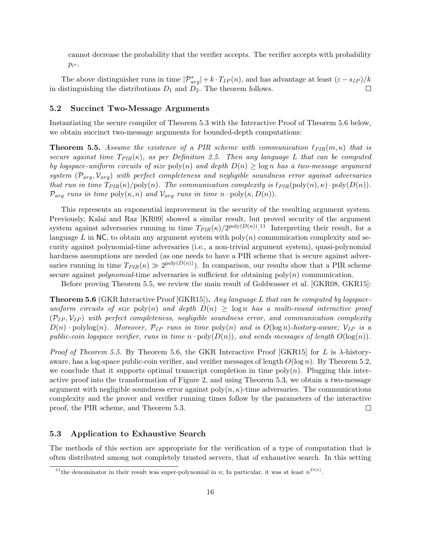cannot decrease the probability that the verifier accepts. The verifier accepts with probability  $p_{i^*}$ .

The above distinguisher runs in time  $|\mathcal{P}_{arg}^*|+k \cdot T_{IP}(n)$ , and has advantage at least  $(\varepsilon - s_{IP})/k$ in distinguishing the distributions  $D_1$  and  $D_2$ . The theorem follows.  $\Box$ 

#### 5.2 Succinct Two-Message Arguments

Instantiating the secure compiler of Theorem 5.3 with the Interactive Proof of Theorem 5.6 below, we obtain succinct two-message arguments for bounded-depth computations:

**Theorem 5.5.** Assume the existence of a PIR scheme with communication  $\ell_{PIR}(m, \kappa)$  that is secure against time  $T_{PIR}(\kappa)$ , as per Definition 2.5. Then any language L that can be computed by logspace-uniform circuits of size  $poly(n)$  and depth  $D(n) \ge log n$  has a two-message argument system  $(\mathcal{P}_{arg}, \mathcal{V}_{arg})$  with perfect completeness and negligible soundness error against adversaries that run in time  $T_{PIR}(\kappa)/\text{poly}(n)$ . The communication complexity is  $\ell_{PIR}(\text{poly}(n), \kappa) \cdot \text{poly}(D(n))$ .  $\mathcal{P}_{arg}$  runs in time  $\text{poly}(\kappa, n)$  and  $\mathcal{V}_{arg}$  runs in time  $n \cdot \text{poly}(\kappa, D(n))$ .

This represents an exponential improvement in the security of the resulting argument system. Previously, Kalai and Raz [KR09] showed a similar result, but proved security of the argument system against adversaries running in time  $T_{PIR}(\kappa)/2^{\text{poly}(D(n))}$ .<sup>11</sup> Interpreting their result, for a language L in NC, to obtain any argument system with  $poly(n)$  communication complexity and security against polynomial-time adversaries (i.e., a non-trivial argument system), quasi-polynomial hardness assumptions are needed (as one needs to have a PIR scheme that is secure against adversaries running in time  $T_{PIR}(\kappa) \gg 2^{\text{poly}(D(n))}$ ). In comparison, our results show that a PIR scheme secure against *polynomial*-time adversaries is sufficient for obtaining  $poly(n)$  communication.

Before proving Theorem 5.5, we review the main result of Goldwasser et al. [GKR08, GKR15]:

**Theorem 5.6** (GKR Interactive Proof [GKR15]). Any language L that can be computed by logspaceuniform circuits of size poly(n) and depth  $D(n) \geq \log n$  has a multi-round interactive proof  $(\mathcal{P}_{IP}, \mathcal{V}_{IP})$  with perfect completeness, negligible soundness error, and communication complexity  $D(n)$  · polylog(n). Moreover,  $\mathcal{P}_{IP}$  runs in time poly(n) and is  $O(\log n)$ -history-aware;  $\mathcal{V}_{IP}$  is a public-coin logspace verifier, runs in time  $n \cdot \text{poly}(D(n))$ , and sends messages of length  $O(\log(n))$ .

*Proof of Theorem 5.5.* By Theorem 5.6, the GKR Interactive Proof [GKR15] for L is  $\lambda$ -historyaware, has a log-space public-coin verifier, and verifier messages of length  $O(\log n)$ . By Theorem 5.2, we conclude that it supports optimal transcript completion in time  $\text{poly}(n)$ . Plugging this interactive proof into the transformation of Figure 2, and using Theorem 5.3, we obtain a two-message argument with negligible soundness error against  $poly(n, \kappa)$ -time adversaries. The communications complexity and the prover and verifier running times follow by the parameters of the interactive proof, the PIR scheme, and Theorem 5.3.  $\Box$ 

### 5.3 Application to Exhaustive Search

The methods of this section are appropriate for the verification of a type of computation that is often distributed among not completely trusted servers, that of exhaustive search. In this setting

<sup>&</sup>lt;sup>11</sup> the denominator in their result was super-polynomial in n; In particular, it was at least  $n^{D(n)}$ .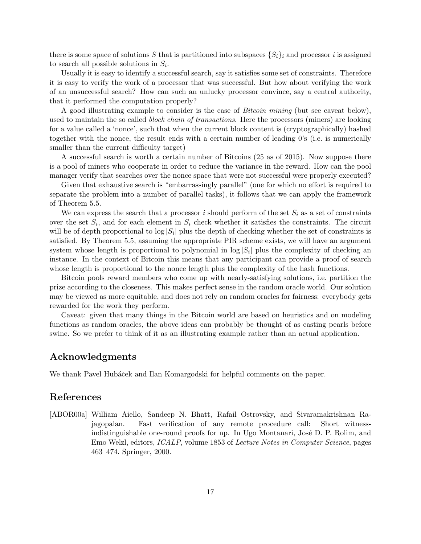there is some space of solutions S that is partitioned into subspaces  $\{S_i\}_i$  and processor i is assigned to search all possible solutions in  $S_i$ .

Usually it is easy to identify a successful search, say it satisfies some set of constraints. Therefore it is easy to verify the work of a processor that was successful. But how about verifying the work of an unsuccessful search? How can such an unlucky processor convince, say a central authority, that it performed the computation properly?

A good illustrating example to consider is the case of Bitcoin mining (but see caveat below), used to maintain the so called *block chain of transactions*. Here the processors (miners) are looking for a value called a 'nonce', such that when the current block content is (cryptographically) hashed together with the nonce, the result ends with a certain number of leading 0's (i.e. is numerically smaller than the current difficulty target)

A successful search is worth a certain number of Bitcoins (25 as of 2015). Now suppose there is a pool of miners who cooperate in order to reduce the variance in the reward. How can the pool manager verify that searches over the nonce space that were not successful were properly executed?

Given that exhaustive search is "embarrassingly parallel" (one for which no effort is required to separate the problem into a number of parallel tasks), it follows that we can apply the framework of Theorem 5.5.

We can express the search that a processor i should perform of the set  $S_i$  as a set of constraints over the set  $S_i$ , and for each element in  $S_i$  check whether it satisfies the constraints. The circuit will be of depth proportional to  $log |S_i|$  plus the depth of checking whether the set of constraints is satisfied. By Theorem 5.5, assuming the appropriate PIR scheme exists, we will have an argument system whose length is proportional to polynomial in  $\log |S_i|$  plus the complexity of checking an instance. In the context of Bitcoin this means that any participant can provide a proof of search whose length is proportional to the nonce length plus the complexity of the hash functions.

Bitcoin pools reward members who come up with nearly-satisfying solutions, i.e. partition the prize according to the closeness. This makes perfect sense in the random oracle world. Our solution may be viewed as more equitable, and does not rely on random oracles for fairness: everybody gets rewarded for the work they perform.

Caveat: given that many things in the Bitcoin world are based on heuristics and on modeling functions as random oracles, the above ideas can probably be thought of as casting pearls before swine. So we prefer to think of it as an illustrating example rather than an actual application.

### Acknowledgments

We thank Pavel Hubáček and Ilan Komargodski for helpful comments on the paper.

# References

[ABOR00a] William Aiello, Sandeep N. Bhatt, Rafail Ostrovsky, and Sivaramakrishnan Rajagopalan. Fast verification of any remote procedure call: Short witnessindistinguishable one-round proofs for np. In Ugo Montanari, José D. P. Rolim, and Emo Welzl, editors, ICALP, volume 1853 of Lecture Notes in Computer Science, pages 463–474. Springer, 2000.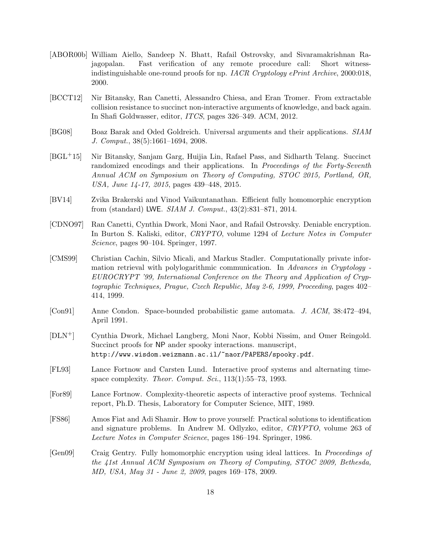- [ABOR00b] William Aiello, Sandeep N. Bhatt, Rafail Ostrovsky, and Sivaramakrishnan Rajagopalan. Fast verification of any remote procedure call: Short witnessindistinguishable one-round proofs for np. *IACR Cryptology ePrint Archive*, 2000:018, 2000.
- [BCCT12] Nir Bitansky, Ran Canetti, Alessandro Chiesa, and Eran Tromer. From extractable collision resistance to succinct non-interactive arguments of knowledge, and back again. In Shafi Goldwasser, editor, ITCS, pages 326–349. ACM, 2012.
- [BG08] Boaz Barak and Oded Goldreich. Universal arguments and their applications. SIAM J. Comput., 38(5):1661–1694, 2008.
- [BGL+15] Nir Bitansky, Sanjam Garg, Huijia Lin, Rafael Pass, and Sidharth Telang. Succinct randomized encodings and their applications. In Proceedings of the Forty-Seventh Annual ACM on Symposium on Theory of Computing, STOC 2015, Portland, OR, USA, June 14-17, 2015, pages 439–448, 2015.
- [BV14] Zvika Brakerski and Vinod Vaikuntanathan. Efficient fully homomorphic encryption from (standard) LWE. SIAM J. Comput., 43(2):831–871, 2014.
- [CDNO97] Ran Canetti, Cynthia Dwork, Moni Naor, and Rafail Ostrovsky. Deniable encryption. In Burton S. Kaliski, editor, CRYPTO, volume 1294 of Lecture Notes in Computer Science, pages 90–104. Springer, 1997.
- [CMS99] Christian Cachin, Silvio Micali, and Markus Stadler. Computationally private information retrieval with polylogarithmic communication. In Advances in Cryptology -EUROCRYPT '99, International Conference on the Theory and Application of Cryptographic Techniques, Prague, Czech Republic, May 2-6, 1999, Proceeding, pages 402– 414, 1999.
- [Con91] Anne Condon. Space-bounded probabilistic game automata. J. ACM, 38:472–494, April 1991.
- [DLN+] Cynthia Dwork, Michael Langberg, Moni Naor, Kobbi Nissim, and Omer Reingold. Succinct proofs for NP ander spooky interactions. manuscript, http://www.wisdom.weizmann.ac.il/~naor/PAPERS/spooky.pdf.
- [FL93] Lance Fortnow and Carsten Lund. Interactive proof systems and alternating timespace complexity. *Theor. Comput. Sci.*,  $113(1):55-73$ , 1993.
- [For89] Lance Fortnow. Complexity-theoretic aspects of interactive proof systems. Technical report, Ph.D. Thesis, Laboratory for Computer Science, MIT, 1989.
- [FS86] Amos Fiat and Adi Shamir. How to prove yourself: Practical solutions to identification and signature problems. In Andrew M. Odlyzko, editor, CRYPTO, volume 263 of Lecture Notes in Computer Science, pages 186–194. Springer, 1986.
- [Gen09] Craig Gentry. Fully homomorphic encryption using ideal lattices. In Proceedings of the 41st Annual ACM Symposium on Theory of Computing, STOC 2009, Bethesda, MD, USA, May 31 - June 2, 2009, pages 169–178, 2009.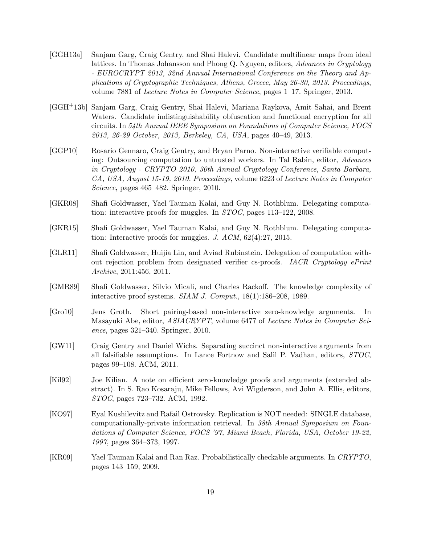- [GGH13a] Sanjam Garg, Craig Gentry, and Shai Halevi. Candidate multilinear maps from ideal lattices. In Thomas Johansson and Phong Q. Nguyen, editors, Advances in Cryptology - EUROCRYPT 2013, 32nd Annual International Conference on the Theory and Applications of Cryptographic Techniques, Athens, Greece, May 26-30, 2013. Proceedings, volume 7881 of Lecture Notes in Computer Science, pages 1–17. Springer, 2013.
- [GGH+13b] Sanjam Garg, Craig Gentry, Shai Halevi, Mariana Raykova, Amit Sahai, and Brent Waters. Candidate indistinguishability obfuscation and functional encryption for all circuits. In 54th Annual IEEE Symposium on Foundations of Computer Science, FOCS 2013, 26-29 October, 2013, Berkeley, CA, USA, pages 40–49, 2013.
- [GGP10] Rosario Gennaro, Craig Gentry, and Bryan Parno. Non-interactive verifiable computing: Outsourcing computation to untrusted workers. In Tal Rabin, editor, Advances in Cryptology - CRYPTO 2010, 30th Annual Cryptology Conference, Santa Barbara, CA, USA, August 15-19, 2010. Proceedings, volume 6223 of Lecture Notes in Computer Science, pages 465–482. Springer, 2010.
- [GKR08] Shafi Goldwasser, Yael Tauman Kalai, and Guy N. Rothblum. Delegating computation: interactive proofs for muggles. In STOC, pages 113–122, 2008.
- [GKR15] Shafi Goldwasser, Yael Tauman Kalai, and Guy N. Rothblum. Delegating computation: Interactive proofs for muggles. J.  $ACM$ ,  $62(4):27$ ,  $2015$ .
- [GLR11] Shafi Goldwasser, Huijia Lin, and Aviad Rubinstein. Delegation of computation without rejection problem from designated verifier cs-proofs. IACR Cryptology ePrint Archive, 2011:456, 2011.
- [GMR89] Shafi Goldwasser, Silvio Micali, and Charles Rackoff. The knowledge complexity of interactive proof systems. SIAM J. Comput., 18(1):186–208, 1989.
- [Gro10] Jens Groth. Short pairing-based non-interactive zero-knowledge arguments. In Masayuki Abe, editor,  $ASIACRYPT$ , volume 6477 of Lecture Notes in Computer Science, pages 321–340. Springer, 2010.
- [GW11] Craig Gentry and Daniel Wichs. Separating succinct non-interactive arguments from all falsifiable assumptions. In Lance Fortnow and Salil P. Vadhan, editors, STOC, pages 99–108. ACM, 2011.
- [Kil92] Joe Kilian. A note on efficient zero-knowledge proofs and arguments (extended abstract). In S. Rao Kosaraju, Mike Fellows, Avi Wigderson, and John A. Ellis, editors, STOC, pages 723–732. ACM, 1992.
- [KO97] Eyal Kushilevitz and Rafail Ostrovsky. Replication is NOT needed: SINGLE database, computationally-private information retrieval. In 38th Annual Symposium on Foundations of Computer Science, FOCS '97, Miami Beach, Florida, USA, October 19-22, 1997, pages 364–373, 1997.
- [KR09] Yael Tauman Kalai and Ran Raz. Probabilistically checkable arguments. In CRYPTO, pages 143–159, 2009.